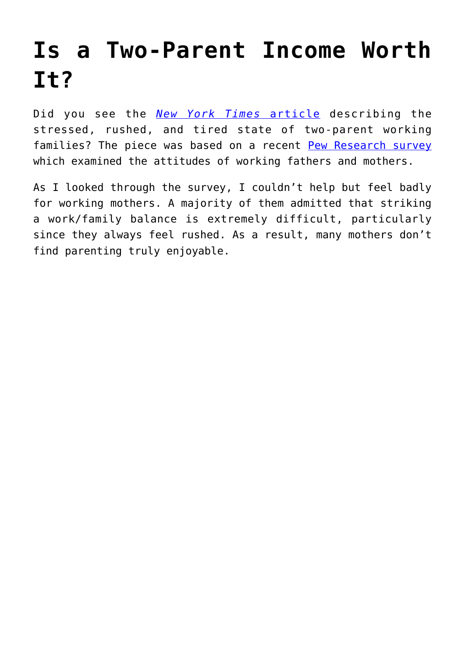## **[Is a Two-Parent Income Worth](https://intellectualtakeout.org/2015/11/is-a-two-parent-income-worth-it/) [It?](https://intellectualtakeout.org/2015/11/is-a-two-parent-income-worth-it/)**

Did you see the *[New York Times](http://www.nytimes.com/2015/11/05/upshot/stressed-tired-rushed-a-portrait-of-the-modern-family.html?action=click&pgtype=Homepage®ion=CColumn&module=MostViewed&version=Full&src=mv&WT.nav=MostViewed&_r=0)* [article](http://www.nytimes.com/2015/11/05/upshot/stressed-tired-rushed-a-portrait-of-the-modern-family.html?action=click&pgtype=Homepage®ion=CColumn&module=MostViewed&version=Full&src=mv&WT.nav=MostViewed&_r=0) describing the stressed, rushed, and tired state of two-parent working families? The piece was based on a recent [Pew Research survey](http://www.pewsocialtrends.org/2015/11/04/raising-kids-and-running-a-household-how-working-parents-share-the-load/) which examined the attitudes of working fathers and mothers.

As I looked through the survey, I couldn't help but feel badly for working mothers. A majority of them admitted that striking a work/family balance is extremely difficult, particularly since they always feel rushed. As a result, many mothers don't find parenting truly enjoyable.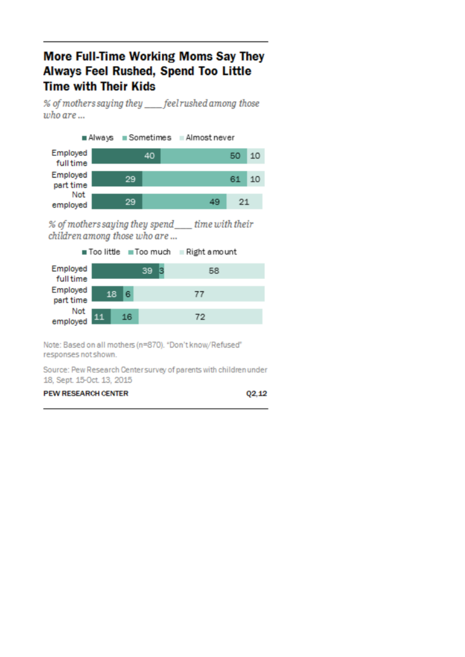## **More Full-Time Working Moms Say They Always Feel Rushed, Spend Too Little Time with Their Kids**

% of mothers saying they \_\_\_\_\_feelrushed among those  $who$  are  $\ldots$ 

Always Sometimes Almostnever Employed 40 50 10 **full time** Employed 29 61 10 part time Not 29 49 21 employed

% of mothers saying they spend\_\_\_\_ time with their children among those who are ...

Too little Too much Right amount

| Employed<br>full time |  |    |    | 39 |  |  |    | 58 |  |
|-----------------------|--|----|----|----|--|--|----|----|--|
| Employed<br>part time |  | 18 | 6  |    |  |  | T  |    |  |
| Not<br>employed       |  |    | 16 |    |  |  | 72 |    |  |

Note: Based on all mothers (n=870). "Don't know/Refused" responses not shown.

Source: Pew Research Center survey of parents with children under 18, Sept. 15-Oct. 13, 2015

| <b>PEW RESEARCH CENTER</b> | Q2,12 |
|----------------------------|-------|
|----------------------------|-------|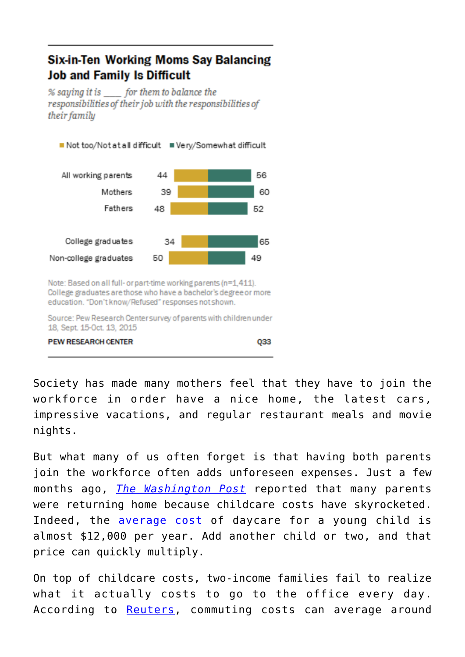## **Six-in-Ten Working Moms Say Balancing Job and Family Is Difficult**

% saying it is for them to balance the responsibilities of their job with the responsibilities of their family



Note: Based on all full- or part-time working parents (n=1,411). College graduates are those who have a bachelor's degree or more education. "Don't know/Refused" responses not shown.

Source: Pew Research Center survey of parents with children under 18, Sept. 15-Oct. 13, 2015

**PEW RESEARCH CENTER** 

033

Society has made many mothers feel that they have to join the workforce in order have a nice home, the latest cars, impressive vacations, and regular restaurant meals and movie nights.

But what many of us often forget is that having both parents join the workforce often adds unforeseen expenses. Just a few months ago, *[The Washington Post](http://www.washingtonpost.com/business/economy/the-surprising-number-of-moms-and-dads-scaling-back-at-work-to-care-for-their-kids/2015/08/06/c7134c50-3ab7-11e5-b3ac-8a79bc44e5e2_story.html?tid=pm_business_pop_b)* reported that many parents were returning home because childcare costs have skyrocketed. Indeed, the [average cost](http://www.babycenter.com/0_how-much-youll-spend-on-childcare_1199776.bc) of daycare for a young child is almost \$12,000 per year. Add another child or two, and that price can quickly multiply.

On top of childcare costs, two-income families fail to realize what it actually costs to go to the office every day. According to [Reuters,](http://www.reuters.com/article/2014/05/27/us-usa-commute-costs-idUSKBN0E721M20140527) commuting costs can average around